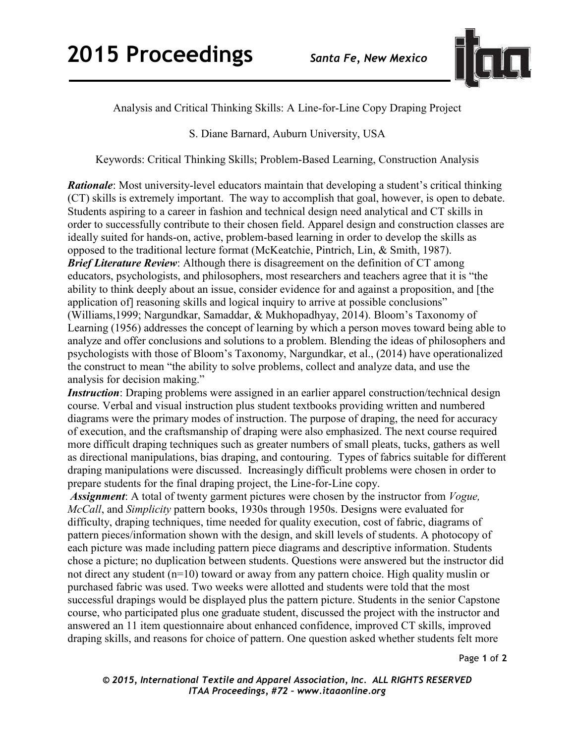

Analysis and Critical Thinking Skills: A Line-for-Line Copy Draping Project

S. Diane Barnard, Auburn University, USA

Keywords: Critical Thinking Skills; Problem-Based Learning, Construction Analysis

*Rationale*: Most university-level educators maintain that developing a student's critical thinking (CT) skills is extremely important. The way to accomplish that goal, however, is open to debate. Students aspiring to a career in fashion and technical design need analytical and CT skills in order to successfully contribute to their chosen field. Apparel design and construction classes are ideally suited for hands-on, active, problem-based learning in order to develop the skills as opposed to the traditional lecture format (McKeatchie, Pintrich, Lin, & Smith, 1987). *Brief Literature Review*: Although there is disagreement on the definition of CT among educators, psychologists, and philosophers, most researchers and teachers agree that it is "the ability to think deeply about an issue, consider evidence for and against a proposition, and [the application of] reasoning skills and logical inquiry to arrive at possible conclusions" (Williams,1999; Nargundkar, Samaddar, & Mukhopadhyay, 2014). Bloom's Taxonomy of Learning (1956) addresses the concept of learning by which a person moves toward being able to analyze and offer conclusions and solutions to a problem. Blending the ideas of philosophers and psychologists with those of Bloom's Taxonomy, Nargundkar, et al., (2014) have operationalized the construct to mean "the ability to solve problems, collect and analyze data, and use the analysis for decision making."

*Instruction*: Draping problems were assigned in an earlier apparel construction/technical design course. Verbal and visual instruction plus student textbooks providing written and numbered diagrams were the primary modes of instruction. The purpose of draping, the need for accuracy of execution, and the craftsmanship of draping were also emphasized. The next course required more difficult draping techniques such as greater numbers of small pleats, tucks, gathers as well as directional manipulations, bias draping, and contouring. Types of fabrics suitable for different draping manipulations were discussed. Increasingly difficult problems were chosen in order to prepare students for the final draping project, the Line-for-Line copy.

*Assignment*: A total of twenty garment pictures were chosen by the instructor from *Vogue, McCall*, and *Simplicity* pattern books, 1930s through 1950s. Designs were evaluated for difficulty, draping techniques, time needed for quality execution, cost of fabric, diagrams of pattern pieces/information shown with the design, and skill levels of students. A photocopy of each picture was made including pattern piece diagrams and descriptive information. Students chose a picture; no duplication between students. Questions were answered but the instructor did not direct any student (n=10) toward or away from any pattern choice. High quality muslin or purchased fabric was used. Two weeks were allotted and students were told that the most successful drapings would be displayed plus the pattern picture. Students in the senior Capstone course, who participated plus one graduate student, discussed the project with the instructor and answered an 11 item questionnaire about enhanced confidence, improved CT skills, improved draping skills, and reasons for choice of pattern. One question asked whether students felt more